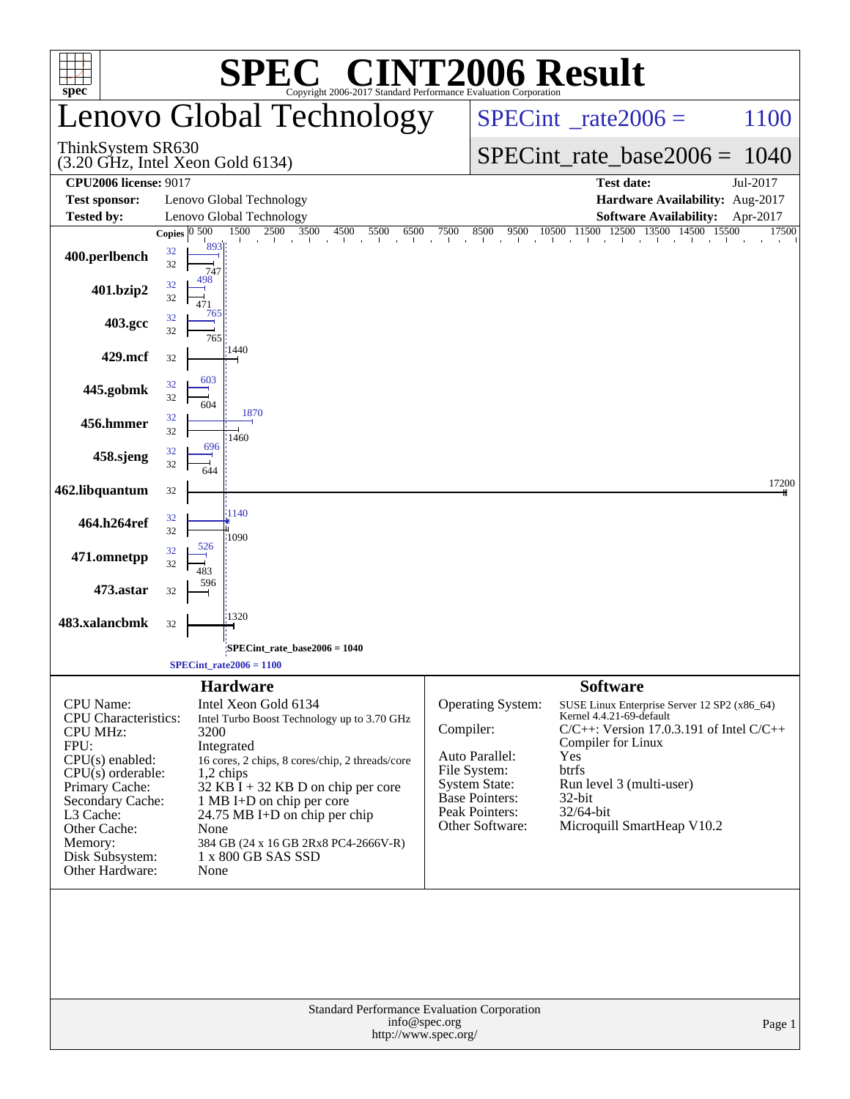|                                                                                                                                                                                                                                            | <b>C® CINT2006 Result</b>                                                                                                                                                                                                                                                                                                                                                  |                                                                                                                                                        |                                                                                                                                                                                                                                                                     |  |  |  |  |  |
|--------------------------------------------------------------------------------------------------------------------------------------------------------------------------------------------------------------------------------------------|----------------------------------------------------------------------------------------------------------------------------------------------------------------------------------------------------------------------------------------------------------------------------------------------------------------------------------------------------------------------------|--------------------------------------------------------------------------------------------------------------------------------------------------------|---------------------------------------------------------------------------------------------------------------------------------------------------------------------------------------------------------------------------------------------------------------------|--|--|--|--|--|
| $spec^*$                                                                                                                                                                                                                                   | Copyright 2006-2017 Standard Performance Evaluation Corporation<br>Lenovo Global Technology                                                                                                                                                                                                                                                                                |                                                                                                                                                        | $SPECint^{\circ}$ <sub>_rate2006</sub> =<br>1100                                                                                                                                                                                                                    |  |  |  |  |  |
| ThinkSystem SR630                                                                                                                                                                                                                          | $(3.20 \text{ GHz}, \text{Intel Xeon Gold } 6134)$                                                                                                                                                                                                                                                                                                                         |                                                                                                                                                        | $SPECint_rate_base2006 = 1040$                                                                                                                                                                                                                                      |  |  |  |  |  |
| <b>CPU2006 license: 9017</b>                                                                                                                                                                                                               |                                                                                                                                                                                                                                                                                                                                                                            |                                                                                                                                                        | <b>Test date:</b><br>Jul-2017                                                                                                                                                                                                                                       |  |  |  |  |  |
| <b>Test sponsor:</b>                                                                                                                                                                                                                       | Lenovo Global Technology                                                                                                                                                                                                                                                                                                                                                   |                                                                                                                                                        | Hardware Availability: Aug-2017                                                                                                                                                                                                                                     |  |  |  |  |  |
| <b>Tested by:</b>                                                                                                                                                                                                                          | Lenovo Global Technology<br>Copies $\boxed{0\ 500}$<br>1500<br>2500 3500<br>4500<br>5500<br>6500                                                                                                                                                                                                                                                                           | 8500<br>7500                                                                                                                                           | Software Availability: Apr-2017<br>17500                                                                                                                                                                                                                            |  |  |  |  |  |
| 400.perlbench                                                                                                                                                                                                                              | the the theory of a final contract of<br>893<br>32<br>32<br>747                                                                                                                                                                                                                                                                                                            |                                                                                                                                                        | 8500 9500 10500 11500 12500 13500 14500 15500                                                                                                                                                                                                                       |  |  |  |  |  |
| 401.bzip2                                                                                                                                                                                                                                  | 498<br>32<br>32<br>471<br>765                                                                                                                                                                                                                                                                                                                                              |                                                                                                                                                        |                                                                                                                                                                                                                                                                     |  |  |  |  |  |
| 403.gcc                                                                                                                                                                                                                                    | 32<br>32<br>765<br>:1440                                                                                                                                                                                                                                                                                                                                                   |                                                                                                                                                        |                                                                                                                                                                                                                                                                     |  |  |  |  |  |
| 429.mcf                                                                                                                                                                                                                                    | 32                                                                                                                                                                                                                                                                                                                                                                         |                                                                                                                                                        |                                                                                                                                                                                                                                                                     |  |  |  |  |  |
| 445.gobmk                                                                                                                                                                                                                                  | 603<br>32<br>32<br>604<br>1870                                                                                                                                                                                                                                                                                                                                             |                                                                                                                                                        |                                                                                                                                                                                                                                                                     |  |  |  |  |  |
| 456.hmmer                                                                                                                                                                                                                                  | 32<br>32                                                                                                                                                                                                                                                                                                                                                                   |                                                                                                                                                        |                                                                                                                                                                                                                                                                     |  |  |  |  |  |
| 458.sjeng                                                                                                                                                                                                                                  | 1460<br>696<br>32<br>32<br>644                                                                                                                                                                                                                                                                                                                                             |                                                                                                                                                        |                                                                                                                                                                                                                                                                     |  |  |  |  |  |
| 462.libquantum                                                                                                                                                                                                                             | 32                                                                                                                                                                                                                                                                                                                                                                         |                                                                                                                                                        | 17200                                                                                                                                                                                                                                                               |  |  |  |  |  |
| 464.h264ref                                                                                                                                                                                                                                | 1140<br>32<br>32<br>1090                                                                                                                                                                                                                                                                                                                                                   |                                                                                                                                                        |                                                                                                                                                                                                                                                                     |  |  |  |  |  |
| 471.omnetpp                                                                                                                                                                                                                                | 526<br>32<br>32<br>483<br>596                                                                                                                                                                                                                                                                                                                                              |                                                                                                                                                        |                                                                                                                                                                                                                                                                     |  |  |  |  |  |
| 473.astar<br>483.xalancbmk                                                                                                                                                                                                                 | 32<br>1320<br>32                                                                                                                                                                                                                                                                                                                                                           |                                                                                                                                                        |                                                                                                                                                                                                                                                                     |  |  |  |  |  |
|                                                                                                                                                                                                                                            | SPECint_rate_base2006 = 1040                                                                                                                                                                                                                                                                                                                                               |                                                                                                                                                        |                                                                                                                                                                                                                                                                     |  |  |  |  |  |
|                                                                                                                                                                                                                                            | $SPECint_rate2006 = 1100$                                                                                                                                                                                                                                                                                                                                                  |                                                                                                                                                        |                                                                                                                                                                                                                                                                     |  |  |  |  |  |
| <b>CPU</b> Name:<br><b>CPU</b> Characteristics:<br><b>CPU MHz:</b><br>FPU:<br>$CPU(s)$ enabled:<br>$CPU(s)$ orderable:<br>Primary Cache:<br>Secondary Cache:<br>L3 Cache:<br>Other Cache:<br>Memory:<br>Disk Subsystem:<br>Other Hardware: | <b>Hardware</b><br>Intel Xeon Gold 6134<br>Intel Turbo Boost Technology up to 3.70 GHz<br>3200<br>Integrated<br>16 cores, 2 chips, 8 cores/chip, 2 threads/core<br>$1,2$ chips<br>$32$ KB $\bar{1}$ + 32 KB D on chip per core<br>1 MB I+D on chip per core<br>24.75 MB I+D on chip per chip<br>None<br>384 GB (24 x 16 GB 2Rx8 PC4-2666V-R)<br>1 x 800 GB SAS SSD<br>None | Operating System:<br>Compiler:<br>Auto Parallel:<br>File System:<br><b>System State:</b><br><b>Base Pointers:</b><br>Peak Pointers:<br>Other Software: | <b>Software</b><br>SUSE Linux Enterprise Server 12 SP2 (x86_64)<br>Kernel 4.4.21-69-default<br>$C/C++$ : Version 17.0.3.191 of Intel $C/C++$<br>Compiler for Linux<br>Yes<br>btrfs<br>Run level 3 (multi-user)<br>32-bit<br>32/64-bit<br>Microquill SmartHeap V10.2 |  |  |  |  |  |
|                                                                                                                                                                                                                                            | Standard Performance Evaluation Corporation<br>info@spec.org<br>http://www.spec.org/                                                                                                                                                                                                                                                                                       |                                                                                                                                                        | Page 1                                                                                                                                                                                                                                                              |  |  |  |  |  |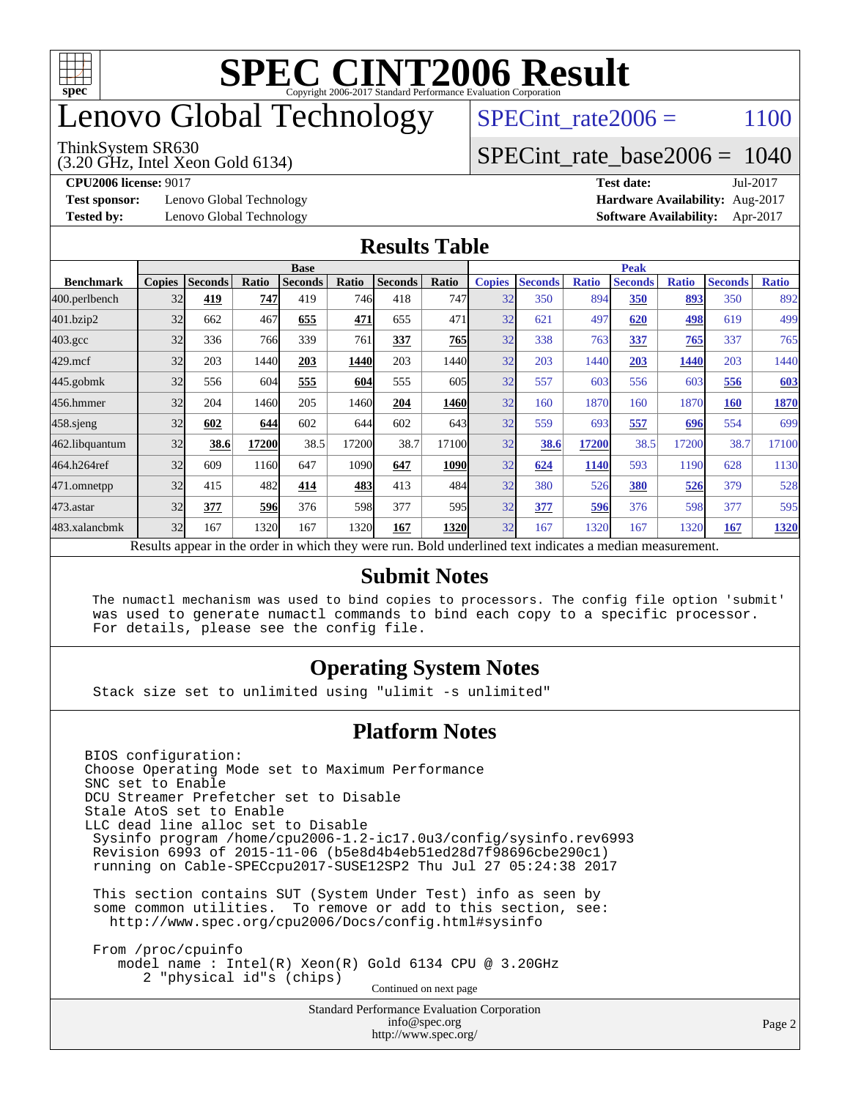

## enovo Global Technology

#### ThinkSystem SR630

(3.20 GHz, Intel Xeon Gold 6134)

SPECint rate $2006 = 1100$ 

## [SPECint\\_rate\\_base2006 =](http://www.spec.org/auto/cpu2006/Docs/result-fields.html#SPECintratebase2006) 1040

**[Test sponsor:](http://www.spec.org/auto/cpu2006/Docs/result-fields.html#Testsponsor)** Lenovo Global Technology **[Hardware Availability:](http://www.spec.org/auto/cpu2006/Docs/result-fields.html#HardwareAvailability)** Aug-2017

**[CPU2006 license:](http://www.spec.org/auto/cpu2006/Docs/result-fields.html#CPU2006license)** 9017 **[Test date:](http://www.spec.org/auto/cpu2006/Docs/result-fields.html#Testdate)** Jul-2017 **[Tested by:](http://www.spec.org/auto/cpu2006/Docs/result-fields.html#Testedby)** Lenovo Global Technology **[Software Availability:](http://www.spec.org/auto/cpu2006/Docs/result-fields.html#SoftwareAvailability)** Apr-2017

### **[Results Table](http://www.spec.org/auto/cpu2006/Docs/result-fields.html#ResultsTable)**

|                                                                                                          | <b>Base</b>   |                |              |                |       |                | <b>Peak</b> |               |                |              |                |              |                |              |
|----------------------------------------------------------------------------------------------------------|---------------|----------------|--------------|----------------|-------|----------------|-------------|---------------|----------------|--------------|----------------|--------------|----------------|--------------|
| <b>Benchmark</b>                                                                                         | <b>Copies</b> | <b>Seconds</b> | <b>Ratio</b> | <b>Seconds</b> | Ratio | <b>Seconds</b> | Ratio       | <b>Copies</b> | <b>Seconds</b> | <b>Ratio</b> | <b>Seconds</b> | <b>Ratio</b> | <b>Seconds</b> | <b>Ratio</b> |
| 400.perlbench                                                                                            | 32            | 419            | 747          | 419            | 746   | 418            | 747         | 32            | 350            | 894          | 350            | 893          | 350            | 892          |
| 401.bzip2                                                                                                | 32            | 662            | 467          | 655            | 471   | 655            | 471         | 32            | 621            | 497          | 620            | 498          | 619            | 499          |
| $403.\mathrm{gcc}$                                                                                       | 32            | 336            | 766          | 339            | 761   | 337            | 765         | 32            | 338            | 763          | 337            | 765          | 337            | 765          |
| $429$ .mcf                                                                                               | 32            | 203            | 1440         | 203            | 1440  | 203            | 1440        | 32            | 203            | 1440         | 203            | 1440         | 203            | 1440         |
| $445$ .gobmk                                                                                             | 32            | 556            | 604          | 555            | 604   | 555            | 605         | 32            | 557            | 603          | 556            | 603          | 556            | 603          |
| 456.hmmer                                                                                                | 32            | 204            | 1460         | 205            | 1460  | 204            | 1460        | 32            | 160            | 1870         | 160            | 1870         | 160            | 1870         |
| $458$ .sjeng                                                                                             | 32            | 602            | 644          | 602            | 644   | 602            | 643         | 32            | 559            | 693          | 557            | 696          | 554            | 699          |
| 462.libquantum                                                                                           | 32            | 38.6           | 17200        | 38.5           | 17200 | 38.7           | 17100       | 32            | 38.6           | 17200        | 38.5           | 17200        | 38.7           | 17100        |
| 464.h264ref                                                                                              | 32            | 609            | 1160         | 647            | 1090  | 647            | 1090        | 32            | 624            | 1140         | 593            | 1190         | 628            | 1130         |
| 471.omnetpp                                                                                              | 32            | 415            | 482          | 414            | 483   | 413            | 484         | 32            | 380            | 526          | 380            | 526          | 379            | 528          |
| 473.astar                                                                                                | 32            | 377            | <b>596</b>   | 376            | 598   | 377            | 595         | 32            | 377            | 596          | 376            | 598          | 377            | 595          |
| 483.xalancbmk                                                                                            | 32            | 167            | 1320         | 167            | 1320  | 167            | 1320        | 32            | 167            | 1320         | 167            | 1320         | 167            | 1320         |
| Results appear in the order in which they were run. Bold underlined text indicates a median measurement. |               |                |              |                |       |                |             |               |                |              |                |              |                |              |

#### **[Submit Notes](http://www.spec.org/auto/cpu2006/Docs/result-fields.html#SubmitNotes)**

 The numactl mechanism was used to bind copies to processors. The config file option 'submit' was used to generate numactl commands to bind each copy to a specific processor. For details, please see the config file.

### **[Operating System Notes](http://www.spec.org/auto/cpu2006/Docs/result-fields.html#OperatingSystemNotes)**

Stack size set to unlimited using "ulimit -s unlimited"

#### **[Platform Notes](http://www.spec.org/auto/cpu2006/Docs/result-fields.html#PlatformNotes)**

Standard Performance Evaluation Corporation [info@spec.org](mailto:info@spec.org) BIOS configuration: Choose Operating Mode set to Maximum Performance SNC set to Enable DCU Streamer Prefetcher set to Disable Stale AtoS set to Enable LLC dead line alloc set to Disable Sysinfo program /home/cpu2006-1.2-ic17.0u3/config/sysinfo.rev6993 Revision 6993 of 2015-11-06 (b5e8d4b4eb51ed28d7f98696cbe290c1) running on Cable-SPECcpu2017-SUSE12SP2 Thu Jul 27 05:24:38 2017 This section contains SUT (System Under Test) info as seen by some common utilities. To remove or add to this section, see: <http://www.spec.org/cpu2006/Docs/config.html#sysinfo> From /proc/cpuinfo model name : Intel(R) Xeon(R) Gold 6134 CPU @ 3.20GHz 2 "physical id"s (chips) Continued on next page

<http://www.spec.org/>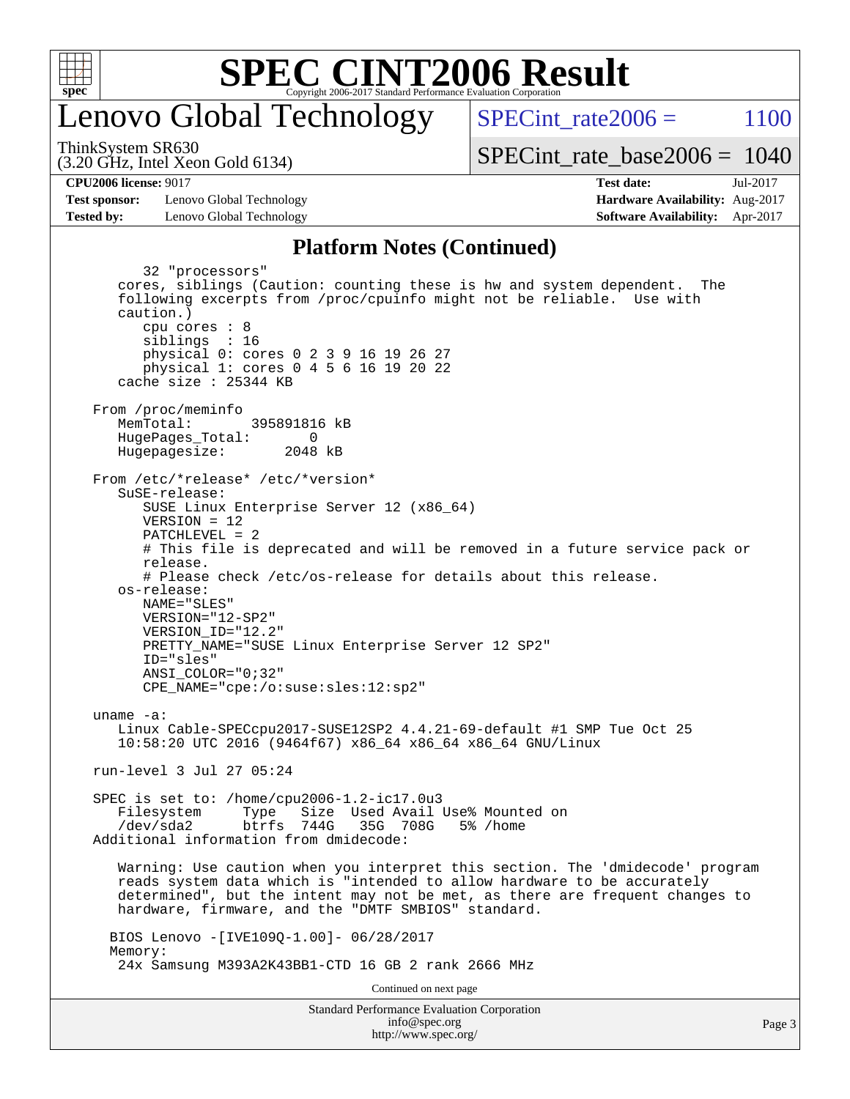

## enovo Global Technology

SPECint rate  $2006 = 1100$ 

(3.20 GHz, Intel Xeon Gold 6134) ThinkSystem SR630

[SPECint\\_rate\\_base2006 =](http://www.spec.org/auto/cpu2006/Docs/result-fields.html#SPECintratebase2006) 1040

**[CPU2006 license:](http://www.spec.org/auto/cpu2006/Docs/result-fields.html#CPU2006license)** 9017 **[Test date:](http://www.spec.org/auto/cpu2006/Docs/result-fields.html#Testdate)** Jul-2017

**[Test sponsor:](http://www.spec.org/auto/cpu2006/Docs/result-fields.html#Testsponsor)** Lenovo Global Technology **[Hardware Availability:](http://www.spec.org/auto/cpu2006/Docs/result-fields.html#HardwareAvailability)** Aug-2017 **[Tested by:](http://www.spec.org/auto/cpu2006/Docs/result-fields.html#Testedby)** Lenovo Global Technology **[Software Availability:](http://www.spec.org/auto/cpu2006/Docs/result-fields.html#SoftwareAvailability)** Apr-2017

## **[Platform Notes \(Continued\)](http://www.spec.org/auto/cpu2006/Docs/result-fields.html#PlatformNotes)**

Standard Performance Evaluation Corporation [info@spec.org](mailto:info@spec.org) 32 "processors" cores, siblings (Caution: counting these is hw and system dependent. The following excerpts from /proc/cpuinfo might not be reliable. Use with caution.) cpu cores : 8 siblings : 16 physical 0: cores 0 2 3 9 16 19 26 27 physical 1: cores 0 4 5 6 16 19 20 22 cache size : 25344 KB From /proc/meminfo MemTotal: 395891816 kB HugePages\_Total: 0<br>Hugepagesize: 2048 kB Hugepagesize: From /etc/\*release\* /etc/\*version\* SuSE-release: SUSE Linux Enterprise Server 12 (x86\_64) VERSION = 12 PATCHLEVEL = 2 # This file is deprecated and will be removed in a future service pack or release. # Please check /etc/os-release for details about this release. os-release: NAME="SLES" VERSION="12-SP2" VERSION\_ID="12.2" PRETTY\_NAME="SUSE Linux Enterprise Server 12 SP2" ID="sles" ANSI\_COLOR="0;32" CPE\_NAME="cpe:/o:suse:sles:12:sp2" uname -a: Linux Cable-SPECcpu2017-SUSE12SP2 4.4.21-69-default #1 SMP Tue Oct 25 10:58:20 UTC 2016 (9464f67) x86\_64 x86\_64 x86\_64 GNU/Linux run-level 3 Jul 27 05:24 SPEC is set to: /home/cpu2006-1.2-ic17.0u3 Filesystem Type Size Used Avail Use% Mounted on /dev/sda2 btrfs 744G 35G 708G 5% /home Additional information from dmidecode: Warning: Use caution when you interpret this section. The 'dmidecode' program reads system data which is "intended to allow hardware to be accurately determined", but the intent may not be met, as there are frequent changes to hardware, firmware, and the "DMTF SMBIOS" standard. BIOS Lenovo -[IVE109Q-1.00]- 06/28/2017 Memory: 24x Samsung M393A2K43BB1-CTD 16 GB 2 rank 2666 MHz Continued on next page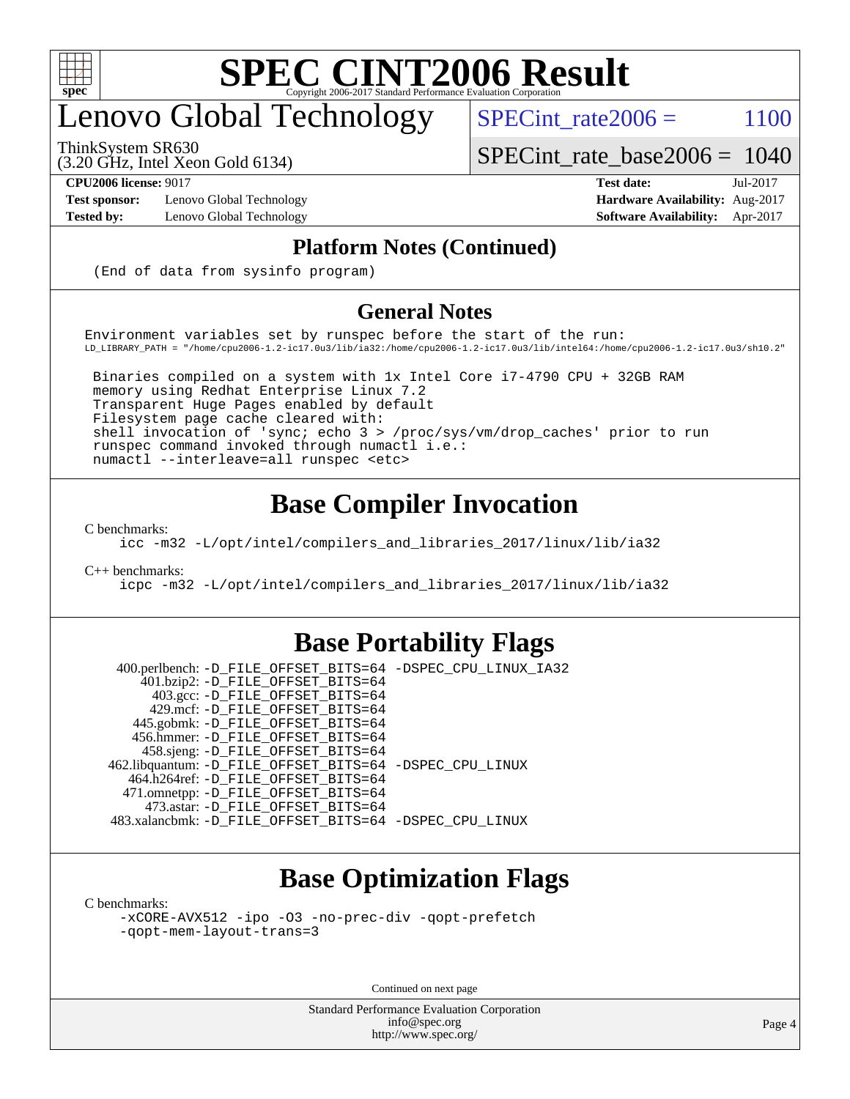

## enovo Global Technology

ThinkSystem SR630

SPECint rate $2006 = 1100$ 

[SPECint\\_rate\\_base2006 =](http://www.spec.org/auto/cpu2006/Docs/result-fields.html#SPECintratebase2006) 1040

(3.20 GHz, Intel Xeon Gold 6134)

**[Test sponsor:](http://www.spec.org/auto/cpu2006/Docs/result-fields.html#Testsponsor)** Lenovo Global Technology **[Hardware Availability:](http://www.spec.org/auto/cpu2006/Docs/result-fields.html#HardwareAvailability)** Aug-2017

**[CPU2006 license:](http://www.spec.org/auto/cpu2006/Docs/result-fields.html#CPU2006license)** 9017 **[Test date:](http://www.spec.org/auto/cpu2006/Docs/result-fields.html#Testdate)** Jul-2017 **[Tested by:](http://www.spec.org/auto/cpu2006/Docs/result-fields.html#Testedby)** Lenovo Global Technology **[Software Availability:](http://www.spec.org/auto/cpu2006/Docs/result-fields.html#SoftwareAvailability)** Apr-2017

### **[Platform Notes \(Continued\)](http://www.spec.org/auto/cpu2006/Docs/result-fields.html#PlatformNotes)**

(End of data from sysinfo program)

### **[General Notes](http://www.spec.org/auto/cpu2006/Docs/result-fields.html#GeneralNotes)**

Environment variables set by runspec before the start of the run: LD\_LIBRARY\_PATH = "/home/cpu2006-1.2-ic17.0u3/lib/ia32:/home/cpu2006-1.2-ic17.0u3/lib/intel64:/home/cpu2006-1.2-ic17.0u3/sh10.2"

 Binaries compiled on a system with 1x Intel Core i7-4790 CPU + 32GB RAM memory using Redhat Enterprise Linux 7.2 Transparent Huge Pages enabled by default Filesystem page cache cleared with: shell invocation of 'sync; echo 3 > /proc/sys/vm/drop\_caches' prior to run runspec command invoked through numactl i.e.: numactl --interleave=all runspec <etc>

## **[Base Compiler Invocation](http://www.spec.org/auto/cpu2006/Docs/result-fields.html#BaseCompilerInvocation)**

[C benchmarks](http://www.spec.org/auto/cpu2006/Docs/result-fields.html#Cbenchmarks):

[icc -m32 -L/opt/intel/compilers\\_and\\_libraries\\_2017/linux/lib/ia32](http://www.spec.org/cpu2006/results/res2017q4/cpu2006-20170918-49548.flags.html#user_CCbase_intel_icc_c29f3ff5a7ed067b11e4ec10a03f03ae)

[C++ benchmarks:](http://www.spec.org/auto/cpu2006/Docs/result-fields.html#CXXbenchmarks)

[icpc -m32 -L/opt/intel/compilers\\_and\\_libraries\\_2017/linux/lib/ia32](http://www.spec.org/cpu2006/results/res2017q4/cpu2006-20170918-49548.flags.html#user_CXXbase_intel_icpc_8c35c7808b62dab9ae41a1aa06361b6b)

## **[Base Portability Flags](http://www.spec.org/auto/cpu2006/Docs/result-fields.html#BasePortabilityFlags)**

 400.perlbench: [-D\\_FILE\\_OFFSET\\_BITS=64](http://www.spec.org/cpu2006/results/res2017q4/cpu2006-20170918-49548.flags.html#user_basePORTABILITY400_perlbench_file_offset_bits_64_438cf9856305ebd76870a2c6dc2689ab) [-DSPEC\\_CPU\\_LINUX\\_IA32](http://www.spec.org/cpu2006/results/res2017q4/cpu2006-20170918-49548.flags.html#b400.perlbench_baseCPORTABILITY_DSPEC_CPU_LINUX_IA32) 401.bzip2: [-D\\_FILE\\_OFFSET\\_BITS=64](http://www.spec.org/cpu2006/results/res2017q4/cpu2006-20170918-49548.flags.html#user_basePORTABILITY401_bzip2_file_offset_bits_64_438cf9856305ebd76870a2c6dc2689ab) 403.gcc: [-D\\_FILE\\_OFFSET\\_BITS=64](http://www.spec.org/cpu2006/results/res2017q4/cpu2006-20170918-49548.flags.html#user_basePORTABILITY403_gcc_file_offset_bits_64_438cf9856305ebd76870a2c6dc2689ab) 429.mcf: [-D\\_FILE\\_OFFSET\\_BITS=64](http://www.spec.org/cpu2006/results/res2017q4/cpu2006-20170918-49548.flags.html#user_basePORTABILITY429_mcf_file_offset_bits_64_438cf9856305ebd76870a2c6dc2689ab) 445.gobmk: [-D\\_FILE\\_OFFSET\\_BITS=64](http://www.spec.org/cpu2006/results/res2017q4/cpu2006-20170918-49548.flags.html#user_basePORTABILITY445_gobmk_file_offset_bits_64_438cf9856305ebd76870a2c6dc2689ab) 456.hmmer: [-D\\_FILE\\_OFFSET\\_BITS=64](http://www.spec.org/cpu2006/results/res2017q4/cpu2006-20170918-49548.flags.html#user_basePORTABILITY456_hmmer_file_offset_bits_64_438cf9856305ebd76870a2c6dc2689ab) 458.sjeng: [-D\\_FILE\\_OFFSET\\_BITS=64](http://www.spec.org/cpu2006/results/res2017q4/cpu2006-20170918-49548.flags.html#user_basePORTABILITY458_sjeng_file_offset_bits_64_438cf9856305ebd76870a2c6dc2689ab) 462.libquantum: [-D\\_FILE\\_OFFSET\\_BITS=64](http://www.spec.org/cpu2006/results/res2017q4/cpu2006-20170918-49548.flags.html#user_basePORTABILITY462_libquantum_file_offset_bits_64_438cf9856305ebd76870a2c6dc2689ab) [-DSPEC\\_CPU\\_LINUX](http://www.spec.org/cpu2006/results/res2017q4/cpu2006-20170918-49548.flags.html#b462.libquantum_baseCPORTABILITY_DSPEC_CPU_LINUX) 464.h264ref: [-D\\_FILE\\_OFFSET\\_BITS=64](http://www.spec.org/cpu2006/results/res2017q4/cpu2006-20170918-49548.flags.html#user_basePORTABILITY464_h264ref_file_offset_bits_64_438cf9856305ebd76870a2c6dc2689ab) 471.omnetpp: [-D\\_FILE\\_OFFSET\\_BITS=64](http://www.spec.org/cpu2006/results/res2017q4/cpu2006-20170918-49548.flags.html#user_basePORTABILITY471_omnetpp_file_offset_bits_64_438cf9856305ebd76870a2c6dc2689ab) 473.astar: [-D\\_FILE\\_OFFSET\\_BITS=64](http://www.spec.org/cpu2006/results/res2017q4/cpu2006-20170918-49548.flags.html#user_basePORTABILITY473_astar_file_offset_bits_64_438cf9856305ebd76870a2c6dc2689ab) 483.xalancbmk: [-D\\_FILE\\_OFFSET\\_BITS=64](http://www.spec.org/cpu2006/results/res2017q4/cpu2006-20170918-49548.flags.html#user_basePORTABILITY483_xalancbmk_file_offset_bits_64_438cf9856305ebd76870a2c6dc2689ab) [-DSPEC\\_CPU\\_LINUX](http://www.spec.org/cpu2006/results/res2017q4/cpu2006-20170918-49548.flags.html#b483.xalancbmk_baseCXXPORTABILITY_DSPEC_CPU_LINUX)

## **[Base Optimization Flags](http://www.spec.org/auto/cpu2006/Docs/result-fields.html#BaseOptimizationFlags)**

[C benchmarks](http://www.spec.org/auto/cpu2006/Docs/result-fields.html#Cbenchmarks):

[-xCORE-AVX512](http://www.spec.org/cpu2006/results/res2017q4/cpu2006-20170918-49548.flags.html#user_CCbase_f-xCORE-AVX512) [-ipo](http://www.spec.org/cpu2006/results/res2017q4/cpu2006-20170918-49548.flags.html#user_CCbase_f-ipo) [-O3](http://www.spec.org/cpu2006/results/res2017q4/cpu2006-20170918-49548.flags.html#user_CCbase_f-O3) [-no-prec-div](http://www.spec.org/cpu2006/results/res2017q4/cpu2006-20170918-49548.flags.html#user_CCbase_f-no-prec-div) [-qopt-prefetch](http://www.spec.org/cpu2006/results/res2017q4/cpu2006-20170918-49548.flags.html#user_CCbase_f-qopt-prefetch) [-qopt-mem-layout-trans=3](http://www.spec.org/cpu2006/results/res2017q4/cpu2006-20170918-49548.flags.html#user_CCbase_f-qopt-mem-layout-trans_170f5be61cd2cedc9b54468c59262d5d)

Continued on next page

Standard Performance Evaluation Corporation [info@spec.org](mailto:info@spec.org) <http://www.spec.org/>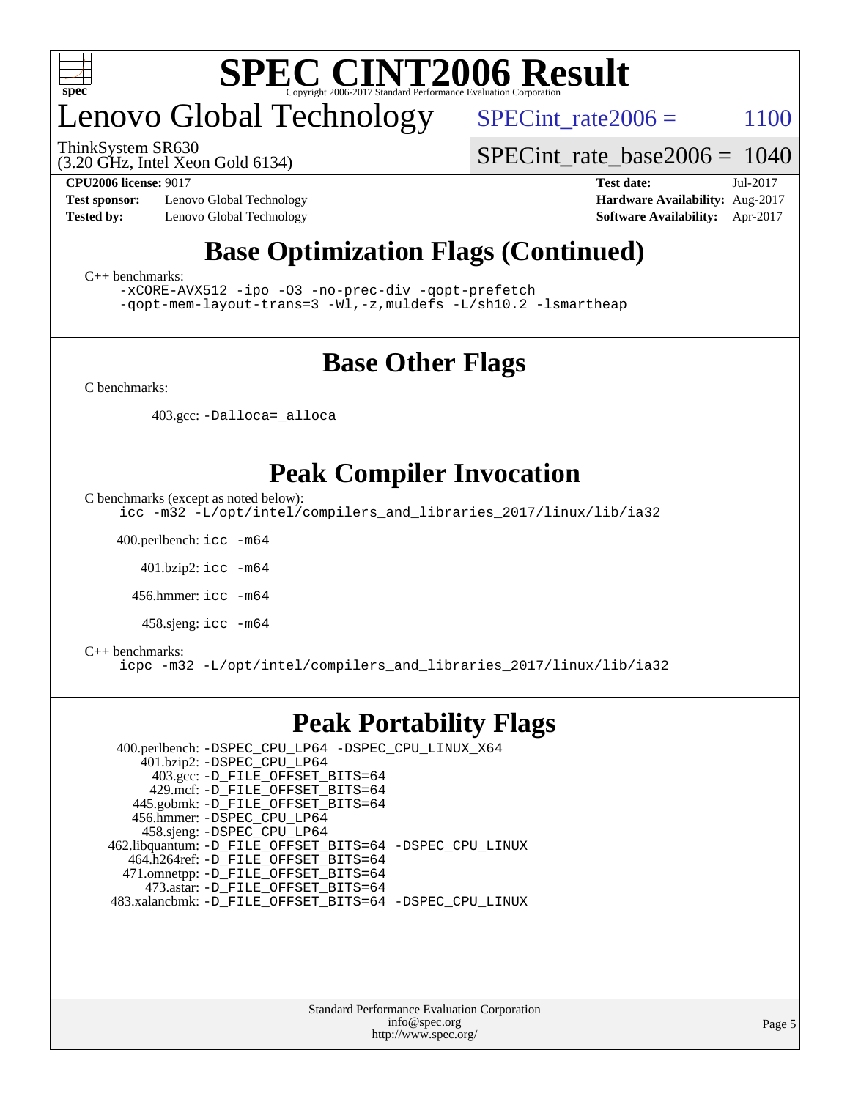

## enovo Global Technology

ThinkSystem SR630

SPECint rate $2006 = 1100$ 

(3.20 GHz, Intel Xeon Gold 6134)

[SPECint\\_rate\\_base2006 =](http://www.spec.org/auto/cpu2006/Docs/result-fields.html#SPECintratebase2006) 1040

**[Test sponsor:](http://www.spec.org/auto/cpu2006/Docs/result-fields.html#Testsponsor)** Lenovo Global Technology **[Hardware Availability:](http://www.spec.org/auto/cpu2006/Docs/result-fields.html#HardwareAvailability)** Aug-2017 **[Tested by:](http://www.spec.org/auto/cpu2006/Docs/result-fields.html#Testedby)** Lenovo Global Technology **[Software Availability:](http://www.spec.org/auto/cpu2006/Docs/result-fields.html#SoftwareAvailability)** Apr-2017

**[CPU2006 license:](http://www.spec.org/auto/cpu2006/Docs/result-fields.html#CPU2006license)** 9017 **[Test date:](http://www.spec.org/auto/cpu2006/Docs/result-fields.html#Testdate)** Jul-2017

## **[Base Optimization Flags \(Continued\)](http://www.spec.org/auto/cpu2006/Docs/result-fields.html#BaseOptimizationFlags)**

[C++ benchmarks:](http://www.spec.org/auto/cpu2006/Docs/result-fields.html#CXXbenchmarks)

[-xCORE-AVX512](http://www.spec.org/cpu2006/results/res2017q4/cpu2006-20170918-49548.flags.html#user_CXXbase_f-xCORE-AVX512) [-ipo](http://www.spec.org/cpu2006/results/res2017q4/cpu2006-20170918-49548.flags.html#user_CXXbase_f-ipo) [-O3](http://www.spec.org/cpu2006/results/res2017q4/cpu2006-20170918-49548.flags.html#user_CXXbase_f-O3) [-no-prec-div](http://www.spec.org/cpu2006/results/res2017q4/cpu2006-20170918-49548.flags.html#user_CXXbase_f-no-prec-div) [-qopt-prefetch](http://www.spec.org/cpu2006/results/res2017q4/cpu2006-20170918-49548.flags.html#user_CXXbase_f-qopt-prefetch) [-qopt-mem-layout-trans=3](http://www.spec.org/cpu2006/results/res2017q4/cpu2006-20170918-49548.flags.html#user_CXXbase_f-qopt-mem-layout-trans_170f5be61cd2cedc9b54468c59262d5d) [-Wl,-z,muldefs](http://www.spec.org/cpu2006/results/res2017q4/cpu2006-20170918-49548.flags.html#user_CXXbase_link_force_multiple1_74079c344b956b9658436fd1b6dd3a8a) [-L/sh10.2 -lsmartheap](http://www.spec.org/cpu2006/results/res2017q4/cpu2006-20170918-49548.flags.html#user_CXXbase_SmartHeap_b831f2d313e2fffa6dfe3f00ffc1f1c0)

## **[Base Other Flags](http://www.spec.org/auto/cpu2006/Docs/result-fields.html#BaseOtherFlags)**

[C benchmarks](http://www.spec.org/auto/cpu2006/Docs/result-fields.html#Cbenchmarks):

403.gcc: [-Dalloca=\\_alloca](http://www.spec.org/cpu2006/results/res2017q4/cpu2006-20170918-49548.flags.html#b403.gcc_baseEXTRA_CFLAGS_Dalloca_be3056838c12de2578596ca5467af7f3)

## **[Peak Compiler Invocation](http://www.spec.org/auto/cpu2006/Docs/result-fields.html#PeakCompilerInvocation)**

[C benchmarks \(except as noted below\)](http://www.spec.org/auto/cpu2006/Docs/result-fields.html#Cbenchmarksexceptasnotedbelow):

[icc -m32 -L/opt/intel/compilers\\_and\\_libraries\\_2017/linux/lib/ia32](http://www.spec.org/cpu2006/results/res2017q4/cpu2006-20170918-49548.flags.html#user_CCpeak_intel_icc_c29f3ff5a7ed067b11e4ec10a03f03ae)

400.perlbench: [icc -m64](http://www.spec.org/cpu2006/results/res2017q4/cpu2006-20170918-49548.flags.html#user_peakCCLD400_perlbench_intel_icc_64bit_bda6cc9af1fdbb0edc3795bac97ada53)

401.bzip2: [icc -m64](http://www.spec.org/cpu2006/results/res2017q4/cpu2006-20170918-49548.flags.html#user_peakCCLD401_bzip2_intel_icc_64bit_bda6cc9af1fdbb0edc3795bac97ada53)

456.hmmer: [icc -m64](http://www.spec.org/cpu2006/results/res2017q4/cpu2006-20170918-49548.flags.html#user_peakCCLD456_hmmer_intel_icc_64bit_bda6cc9af1fdbb0edc3795bac97ada53)

458.sjeng: [icc -m64](http://www.spec.org/cpu2006/results/res2017q4/cpu2006-20170918-49548.flags.html#user_peakCCLD458_sjeng_intel_icc_64bit_bda6cc9af1fdbb0edc3795bac97ada53)

#### [C++ benchmarks:](http://www.spec.org/auto/cpu2006/Docs/result-fields.html#CXXbenchmarks)

[icpc -m32 -L/opt/intel/compilers\\_and\\_libraries\\_2017/linux/lib/ia32](http://www.spec.org/cpu2006/results/res2017q4/cpu2006-20170918-49548.flags.html#user_CXXpeak_intel_icpc_8c35c7808b62dab9ae41a1aa06361b6b)

## **[Peak Portability Flags](http://www.spec.org/auto/cpu2006/Docs/result-fields.html#PeakPortabilityFlags)**

 400.perlbench: [-DSPEC\\_CPU\\_LP64](http://www.spec.org/cpu2006/results/res2017q4/cpu2006-20170918-49548.flags.html#b400.perlbench_peakCPORTABILITY_DSPEC_CPU_LP64) [-DSPEC\\_CPU\\_LINUX\\_X64](http://www.spec.org/cpu2006/results/res2017q4/cpu2006-20170918-49548.flags.html#b400.perlbench_peakCPORTABILITY_DSPEC_CPU_LINUX_X64) 401.bzip2: [-DSPEC\\_CPU\\_LP64](http://www.spec.org/cpu2006/results/res2017q4/cpu2006-20170918-49548.flags.html#suite_peakCPORTABILITY401_bzip2_DSPEC_CPU_LP64) 403.gcc: [-D\\_FILE\\_OFFSET\\_BITS=64](http://www.spec.org/cpu2006/results/res2017q4/cpu2006-20170918-49548.flags.html#user_peakPORTABILITY403_gcc_file_offset_bits_64_438cf9856305ebd76870a2c6dc2689ab) 429.mcf: [-D\\_FILE\\_OFFSET\\_BITS=64](http://www.spec.org/cpu2006/results/res2017q4/cpu2006-20170918-49548.flags.html#user_peakPORTABILITY429_mcf_file_offset_bits_64_438cf9856305ebd76870a2c6dc2689ab) 445.gobmk: [-D\\_FILE\\_OFFSET\\_BITS=64](http://www.spec.org/cpu2006/results/res2017q4/cpu2006-20170918-49548.flags.html#user_peakPORTABILITY445_gobmk_file_offset_bits_64_438cf9856305ebd76870a2c6dc2689ab) 456.hmmer: [-DSPEC\\_CPU\\_LP64](http://www.spec.org/cpu2006/results/res2017q4/cpu2006-20170918-49548.flags.html#suite_peakCPORTABILITY456_hmmer_DSPEC_CPU_LP64) 458.sjeng: [-DSPEC\\_CPU\\_LP64](http://www.spec.org/cpu2006/results/res2017q4/cpu2006-20170918-49548.flags.html#suite_peakCPORTABILITY458_sjeng_DSPEC_CPU_LP64) 462.libquantum: [-D\\_FILE\\_OFFSET\\_BITS=64](http://www.spec.org/cpu2006/results/res2017q4/cpu2006-20170918-49548.flags.html#user_peakPORTABILITY462_libquantum_file_offset_bits_64_438cf9856305ebd76870a2c6dc2689ab) [-DSPEC\\_CPU\\_LINUX](http://www.spec.org/cpu2006/results/res2017q4/cpu2006-20170918-49548.flags.html#b462.libquantum_peakCPORTABILITY_DSPEC_CPU_LINUX) 464.h264ref: [-D\\_FILE\\_OFFSET\\_BITS=64](http://www.spec.org/cpu2006/results/res2017q4/cpu2006-20170918-49548.flags.html#user_peakPORTABILITY464_h264ref_file_offset_bits_64_438cf9856305ebd76870a2c6dc2689ab) 471.omnetpp: [-D\\_FILE\\_OFFSET\\_BITS=64](http://www.spec.org/cpu2006/results/res2017q4/cpu2006-20170918-49548.flags.html#user_peakPORTABILITY471_omnetpp_file_offset_bits_64_438cf9856305ebd76870a2c6dc2689ab) 473.astar: [-D\\_FILE\\_OFFSET\\_BITS=64](http://www.spec.org/cpu2006/results/res2017q4/cpu2006-20170918-49548.flags.html#user_peakPORTABILITY473_astar_file_offset_bits_64_438cf9856305ebd76870a2c6dc2689ab) 483.xalancbmk: [-D\\_FILE\\_OFFSET\\_BITS=64](http://www.spec.org/cpu2006/results/res2017q4/cpu2006-20170918-49548.flags.html#user_peakPORTABILITY483_xalancbmk_file_offset_bits_64_438cf9856305ebd76870a2c6dc2689ab) [-DSPEC\\_CPU\\_LINUX](http://www.spec.org/cpu2006/results/res2017q4/cpu2006-20170918-49548.flags.html#b483.xalancbmk_peakCXXPORTABILITY_DSPEC_CPU_LINUX)

> Standard Performance Evaluation Corporation [info@spec.org](mailto:info@spec.org) <http://www.spec.org/>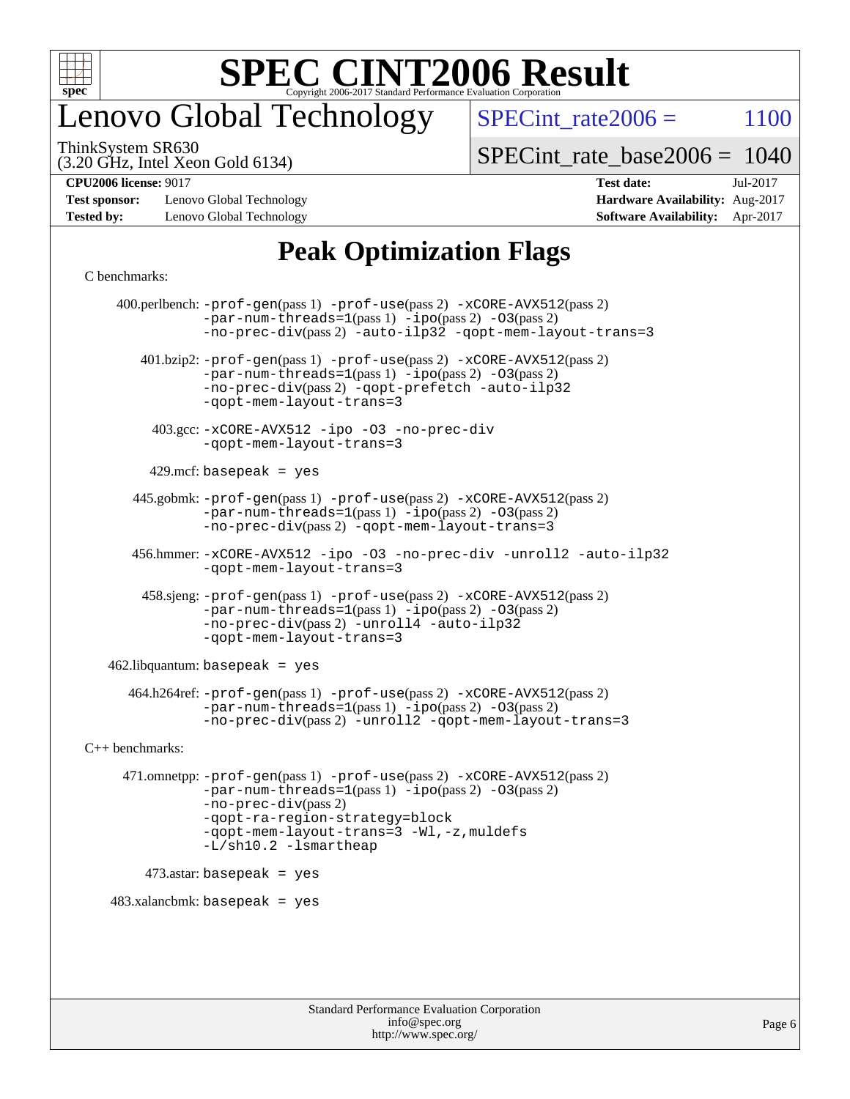

## enovo Global Technology

SPECint rate $2006 = 1100$ 

(3.20 GHz, Intel Xeon Gold 6134) ThinkSystem SR630

[SPECint\\_rate\\_base2006 =](http://www.spec.org/auto/cpu2006/Docs/result-fields.html#SPECintratebase2006) 1040

**[Test sponsor:](http://www.spec.org/auto/cpu2006/Docs/result-fields.html#Testsponsor)** Lenovo Global Technology **[Hardware Availability:](http://www.spec.org/auto/cpu2006/Docs/result-fields.html#HardwareAvailability)** Aug-2017 **[Tested by:](http://www.spec.org/auto/cpu2006/Docs/result-fields.html#Testedby)** Lenovo Global Technology **[Software Availability:](http://www.spec.org/auto/cpu2006/Docs/result-fields.html#SoftwareAvailability)** Apr-2017

# **[CPU2006 license:](http://www.spec.org/auto/cpu2006/Docs/result-fields.html#CPU2006license)** 9017 **[Test date:](http://www.spec.org/auto/cpu2006/Docs/result-fields.html#Testdate)** Jul-2017

## **[Peak Optimization Flags](http://www.spec.org/auto/cpu2006/Docs/result-fields.html#PeakOptimizationFlags)**

#### [C benchmarks](http://www.spec.org/auto/cpu2006/Docs/result-fields.html#Cbenchmarks):

 400.perlbench: [-prof-gen](http://www.spec.org/cpu2006/results/res2017q4/cpu2006-20170918-49548.flags.html#user_peakPASS1_CFLAGSPASS1_LDCFLAGS400_perlbench_prof_gen_e43856698f6ca7b7e442dfd80e94a8fc)(pass 1) [-prof-use](http://www.spec.org/cpu2006/results/res2017q4/cpu2006-20170918-49548.flags.html#user_peakPASS2_CFLAGSPASS2_LDCFLAGS400_perlbench_prof_use_bccf7792157ff70d64e32fe3e1250b55)(pass 2) [-xCORE-AVX512](http://www.spec.org/cpu2006/results/res2017q4/cpu2006-20170918-49548.flags.html#user_peakPASS2_CFLAGSPASS2_LDCFLAGS400_perlbench_f-xCORE-AVX512)(pass 2)  $-par-num-threads=1(pass 1) -ipo(pass 2) -O3(pass 2)$  $-par-num-threads=1(pass 1) -ipo(pass 2) -O3(pass 2)$  $-par-num-threads=1(pass 1) -ipo(pass 2) -O3(pass 2)$  $-par-num-threads=1(pass 1) -ipo(pass 2) -O3(pass 2)$  $-par-num-threads=1(pass 1) -ipo(pass 2) -O3(pass 2)$  $-par-num-threads=1(pass 1) -ipo(pass 2) -O3(pass 2)$ [-no-prec-div](http://www.spec.org/cpu2006/results/res2017q4/cpu2006-20170918-49548.flags.html#user_peakPASS2_CFLAGSPASS2_LDCFLAGS400_perlbench_f-no-prec-div)(pass 2) [-auto-ilp32](http://www.spec.org/cpu2006/results/res2017q4/cpu2006-20170918-49548.flags.html#user_peakCOPTIMIZE400_perlbench_f-auto-ilp32) [-qopt-mem-layout-trans=3](http://www.spec.org/cpu2006/results/res2017q4/cpu2006-20170918-49548.flags.html#user_peakCOPTIMIZE400_perlbench_f-qopt-mem-layout-trans_170f5be61cd2cedc9b54468c59262d5d) 401.bzip2: [-prof-gen](http://www.spec.org/cpu2006/results/res2017q4/cpu2006-20170918-49548.flags.html#user_peakPASS1_CFLAGSPASS1_LDCFLAGS401_bzip2_prof_gen_e43856698f6ca7b7e442dfd80e94a8fc)(pass 1) [-prof-use](http://www.spec.org/cpu2006/results/res2017q4/cpu2006-20170918-49548.flags.html#user_peakPASS2_CFLAGSPASS2_LDCFLAGS401_bzip2_prof_use_bccf7792157ff70d64e32fe3e1250b55)(pass 2) [-xCORE-AVX512](http://www.spec.org/cpu2006/results/res2017q4/cpu2006-20170918-49548.flags.html#user_peakPASS2_CFLAGSPASS2_LDCFLAGS401_bzip2_f-xCORE-AVX512)(pass 2) [-par-num-threads=1](http://www.spec.org/cpu2006/results/res2017q4/cpu2006-20170918-49548.flags.html#user_peakPASS1_CFLAGSPASS1_LDCFLAGS401_bzip2_par_num_threads_786a6ff141b4e9e90432e998842df6c2)(pass 1) [-ipo](http://www.spec.org/cpu2006/results/res2017q4/cpu2006-20170918-49548.flags.html#user_peakPASS2_CFLAGSPASS2_LDCFLAGS401_bzip2_f-ipo)(pass 2) [-O3](http://www.spec.org/cpu2006/results/res2017q4/cpu2006-20170918-49548.flags.html#user_peakPASS2_CFLAGSPASS2_LDCFLAGS401_bzip2_f-O3)(pass 2) [-no-prec-div](http://www.spec.org/cpu2006/results/res2017q4/cpu2006-20170918-49548.flags.html#user_peakPASS2_CFLAGSPASS2_LDCFLAGS401_bzip2_f-no-prec-div)(pass 2) [-qopt-prefetch](http://www.spec.org/cpu2006/results/res2017q4/cpu2006-20170918-49548.flags.html#user_peakCOPTIMIZE401_bzip2_f-qopt-prefetch) [-auto-ilp32](http://www.spec.org/cpu2006/results/res2017q4/cpu2006-20170918-49548.flags.html#user_peakCOPTIMIZE401_bzip2_f-auto-ilp32) [-qopt-mem-layout-trans=3](http://www.spec.org/cpu2006/results/res2017q4/cpu2006-20170918-49548.flags.html#user_peakCOPTIMIZE401_bzip2_f-qopt-mem-layout-trans_170f5be61cd2cedc9b54468c59262d5d) 403.gcc: [-xCORE-AVX512](http://www.spec.org/cpu2006/results/res2017q4/cpu2006-20170918-49548.flags.html#user_peakOPTIMIZE403_gcc_f-xCORE-AVX512) [-ipo](http://www.spec.org/cpu2006/results/res2017q4/cpu2006-20170918-49548.flags.html#user_peakOPTIMIZE403_gcc_f-ipo) [-O3](http://www.spec.org/cpu2006/results/res2017q4/cpu2006-20170918-49548.flags.html#user_peakOPTIMIZE403_gcc_f-O3) [-no-prec-div](http://www.spec.org/cpu2006/results/res2017q4/cpu2006-20170918-49548.flags.html#user_peakOPTIMIZE403_gcc_f-no-prec-div) [-qopt-mem-layout-trans=3](http://www.spec.org/cpu2006/results/res2017q4/cpu2006-20170918-49548.flags.html#user_peakCOPTIMIZE403_gcc_f-qopt-mem-layout-trans_170f5be61cd2cedc9b54468c59262d5d)  $429$ .mcf: basepeak = yes 445.gobmk: [-prof-gen](http://www.spec.org/cpu2006/results/res2017q4/cpu2006-20170918-49548.flags.html#user_peakPASS1_CFLAGSPASS1_LDCFLAGS445_gobmk_prof_gen_e43856698f6ca7b7e442dfd80e94a8fc)(pass 1) [-prof-use](http://www.spec.org/cpu2006/results/res2017q4/cpu2006-20170918-49548.flags.html#user_peakPASS2_CFLAGSPASS2_LDCFLAGSPASS2_LDFLAGS445_gobmk_prof_use_bccf7792157ff70d64e32fe3e1250b55)(pass 2) [-xCORE-AVX512](http://www.spec.org/cpu2006/results/res2017q4/cpu2006-20170918-49548.flags.html#user_peakPASS2_CFLAGSPASS2_LDCFLAGSPASS2_LDFLAGS445_gobmk_f-xCORE-AVX512)(pass 2) [-par-num-threads=1](http://www.spec.org/cpu2006/results/res2017q4/cpu2006-20170918-49548.flags.html#user_peakPASS1_CFLAGSPASS1_LDCFLAGS445_gobmk_par_num_threads_786a6ff141b4e9e90432e998842df6c2)(pass 1) [-ipo](http://www.spec.org/cpu2006/results/res2017q4/cpu2006-20170918-49548.flags.html#user_peakPASS2_LDCFLAGS445_gobmk_f-ipo)(pass 2) [-O3](http://www.spec.org/cpu2006/results/res2017q4/cpu2006-20170918-49548.flags.html#user_peakPASS2_LDCFLAGS445_gobmk_f-O3)(pass 2) [-no-prec-div](http://www.spec.org/cpu2006/results/res2017q4/cpu2006-20170918-49548.flags.html#user_peakPASS2_LDCFLAGS445_gobmk_f-no-prec-div)(pass 2) [-qopt-mem-layout-trans=3](http://www.spec.org/cpu2006/results/res2017q4/cpu2006-20170918-49548.flags.html#user_peakCOPTIMIZE445_gobmk_f-qopt-mem-layout-trans_170f5be61cd2cedc9b54468c59262d5d) 456.hmmer: [-xCORE-AVX512](http://www.spec.org/cpu2006/results/res2017q4/cpu2006-20170918-49548.flags.html#user_peakOPTIMIZE456_hmmer_f-xCORE-AVX512) [-ipo](http://www.spec.org/cpu2006/results/res2017q4/cpu2006-20170918-49548.flags.html#user_peakOPTIMIZE456_hmmer_f-ipo) [-O3](http://www.spec.org/cpu2006/results/res2017q4/cpu2006-20170918-49548.flags.html#user_peakOPTIMIZE456_hmmer_f-O3) [-no-prec-div](http://www.spec.org/cpu2006/results/res2017q4/cpu2006-20170918-49548.flags.html#user_peakOPTIMIZE456_hmmer_f-no-prec-div) [-unroll2](http://www.spec.org/cpu2006/results/res2017q4/cpu2006-20170918-49548.flags.html#user_peakCOPTIMIZE456_hmmer_f-unroll_784dae83bebfb236979b41d2422d7ec2) [-auto-ilp32](http://www.spec.org/cpu2006/results/res2017q4/cpu2006-20170918-49548.flags.html#user_peakCOPTIMIZE456_hmmer_f-auto-ilp32) [-qopt-mem-layout-trans=3](http://www.spec.org/cpu2006/results/res2017q4/cpu2006-20170918-49548.flags.html#user_peakCOPTIMIZE456_hmmer_f-qopt-mem-layout-trans_170f5be61cd2cedc9b54468c59262d5d) 458.sjeng: [-prof-gen](http://www.spec.org/cpu2006/results/res2017q4/cpu2006-20170918-49548.flags.html#user_peakPASS1_CFLAGSPASS1_LDCFLAGS458_sjeng_prof_gen_e43856698f6ca7b7e442dfd80e94a8fc)(pass 1) [-prof-use](http://www.spec.org/cpu2006/results/res2017q4/cpu2006-20170918-49548.flags.html#user_peakPASS2_CFLAGSPASS2_LDCFLAGS458_sjeng_prof_use_bccf7792157ff70d64e32fe3e1250b55)(pass 2) [-xCORE-AVX512](http://www.spec.org/cpu2006/results/res2017q4/cpu2006-20170918-49548.flags.html#user_peakPASS2_CFLAGSPASS2_LDCFLAGS458_sjeng_f-xCORE-AVX512)(pass 2) [-par-num-threads=1](http://www.spec.org/cpu2006/results/res2017q4/cpu2006-20170918-49548.flags.html#user_peakPASS1_CFLAGSPASS1_LDCFLAGS458_sjeng_par_num_threads_786a6ff141b4e9e90432e998842df6c2)(pass 1) [-ipo](http://www.spec.org/cpu2006/results/res2017q4/cpu2006-20170918-49548.flags.html#user_peakPASS2_CFLAGSPASS2_LDCFLAGS458_sjeng_f-ipo)(pass 2) [-O3](http://www.spec.org/cpu2006/results/res2017q4/cpu2006-20170918-49548.flags.html#user_peakPASS2_CFLAGSPASS2_LDCFLAGS458_sjeng_f-O3)(pass 2) [-no-prec-div](http://www.spec.org/cpu2006/results/res2017q4/cpu2006-20170918-49548.flags.html#user_peakPASS2_CFLAGSPASS2_LDCFLAGS458_sjeng_f-no-prec-div)(pass 2) [-unroll4](http://www.spec.org/cpu2006/results/res2017q4/cpu2006-20170918-49548.flags.html#user_peakCOPTIMIZE458_sjeng_f-unroll_4e5e4ed65b7fd20bdcd365bec371b81f) [-auto-ilp32](http://www.spec.org/cpu2006/results/res2017q4/cpu2006-20170918-49548.flags.html#user_peakCOPTIMIZE458_sjeng_f-auto-ilp32) [-qopt-mem-layout-trans=3](http://www.spec.org/cpu2006/results/res2017q4/cpu2006-20170918-49548.flags.html#user_peakCOPTIMIZE458_sjeng_f-qopt-mem-layout-trans_170f5be61cd2cedc9b54468c59262d5d)  $462$ .libquantum: basepeak = yes 464.h264ref: [-prof-gen](http://www.spec.org/cpu2006/results/res2017q4/cpu2006-20170918-49548.flags.html#user_peakPASS1_CFLAGSPASS1_LDCFLAGS464_h264ref_prof_gen_e43856698f6ca7b7e442dfd80e94a8fc)(pass 1) [-prof-use](http://www.spec.org/cpu2006/results/res2017q4/cpu2006-20170918-49548.flags.html#user_peakPASS2_CFLAGSPASS2_LDCFLAGS464_h264ref_prof_use_bccf7792157ff70d64e32fe3e1250b55)(pass 2) [-xCORE-AVX512](http://www.spec.org/cpu2006/results/res2017q4/cpu2006-20170918-49548.flags.html#user_peakPASS2_CFLAGSPASS2_LDCFLAGS464_h264ref_f-xCORE-AVX512)(pass 2) [-par-num-threads=1](http://www.spec.org/cpu2006/results/res2017q4/cpu2006-20170918-49548.flags.html#user_peakPASS1_CFLAGSPASS1_LDCFLAGS464_h264ref_par_num_threads_786a6ff141b4e9e90432e998842df6c2)(pass 1) [-ipo](http://www.spec.org/cpu2006/results/res2017q4/cpu2006-20170918-49548.flags.html#user_peakPASS2_CFLAGSPASS2_LDCFLAGS464_h264ref_f-ipo)(pass 2) [-O3](http://www.spec.org/cpu2006/results/res2017q4/cpu2006-20170918-49548.flags.html#user_peakPASS2_CFLAGSPASS2_LDCFLAGS464_h264ref_f-O3)(pass 2) [-no-prec-div](http://www.spec.org/cpu2006/results/res2017q4/cpu2006-20170918-49548.flags.html#user_peakPASS2_CFLAGSPASS2_LDCFLAGS464_h264ref_f-no-prec-div)(pass 2) [-unroll2](http://www.spec.org/cpu2006/results/res2017q4/cpu2006-20170918-49548.flags.html#user_peakCOPTIMIZE464_h264ref_f-unroll_784dae83bebfb236979b41d2422d7ec2) [-qopt-mem-layout-trans=3](http://www.spec.org/cpu2006/results/res2017q4/cpu2006-20170918-49548.flags.html#user_peakCOPTIMIZE464_h264ref_f-qopt-mem-layout-trans_170f5be61cd2cedc9b54468c59262d5d) [C++ benchmarks:](http://www.spec.org/auto/cpu2006/Docs/result-fields.html#CXXbenchmarks) 471.omnetpp: [-prof-gen](http://www.spec.org/cpu2006/results/res2017q4/cpu2006-20170918-49548.flags.html#user_peakPASS1_CXXFLAGSPASS1_LDCXXFLAGS471_omnetpp_prof_gen_e43856698f6ca7b7e442dfd80e94a8fc)(pass 1) [-prof-use](http://www.spec.org/cpu2006/results/res2017q4/cpu2006-20170918-49548.flags.html#user_peakPASS2_CXXFLAGSPASS2_LDCXXFLAGS471_omnetpp_prof_use_bccf7792157ff70d64e32fe3e1250b55)(pass 2) [-xCORE-AVX512](http://www.spec.org/cpu2006/results/res2017q4/cpu2006-20170918-49548.flags.html#user_peakPASS2_CXXFLAGSPASS2_LDCXXFLAGS471_omnetpp_f-xCORE-AVX512)(pass 2) [-par-num-threads=1](http://www.spec.org/cpu2006/results/res2017q4/cpu2006-20170918-49548.flags.html#user_peakPASS1_CXXFLAGSPASS1_LDCXXFLAGS471_omnetpp_par_num_threads_786a6ff141b4e9e90432e998842df6c2)(pass 1) [-ipo](http://www.spec.org/cpu2006/results/res2017q4/cpu2006-20170918-49548.flags.html#user_peakPASS2_CXXFLAGSPASS2_LDCXXFLAGS471_omnetpp_f-ipo)(pass 2) [-O3](http://www.spec.org/cpu2006/results/res2017q4/cpu2006-20170918-49548.flags.html#user_peakPASS2_CXXFLAGSPASS2_LDCXXFLAGS471_omnetpp_f-O3)(pass 2) [-no-prec-div](http://www.spec.org/cpu2006/results/res2017q4/cpu2006-20170918-49548.flags.html#user_peakPASS2_CXXFLAGSPASS2_LDCXXFLAGS471_omnetpp_f-no-prec-div)(pass 2) [-qopt-ra-region-strategy=block](http://www.spec.org/cpu2006/results/res2017q4/cpu2006-20170918-49548.flags.html#user_peakCXXOPTIMIZE471_omnetpp_f-qopt-ra-region-strategy_430aa8f7c220cbde92ae827fa8d9be32)  [-qopt-mem-layout-trans=3](http://www.spec.org/cpu2006/results/res2017q4/cpu2006-20170918-49548.flags.html#user_peakCXXOPTIMIZE471_omnetpp_f-qopt-mem-layout-trans_170f5be61cd2cedc9b54468c59262d5d) [-Wl,-z,muldefs](http://www.spec.org/cpu2006/results/res2017q4/cpu2006-20170918-49548.flags.html#user_peakEXTRA_LDFLAGS471_omnetpp_link_force_multiple1_74079c344b956b9658436fd1b6dd3a8a) [-L/sh10.2 -lsmartheap](http://www.spec.org/cpu2006/results/res2017q4/cpu2006-20170918-49548.flags.html#user_peakEXTRA_LIBS471_omnetpp_SmartHeap_b831f2d313e2fffa6dfe3f00ffc1f1c0) 473.astar: basepeak = yes  $483.xalanchmk: basepeak = yes$